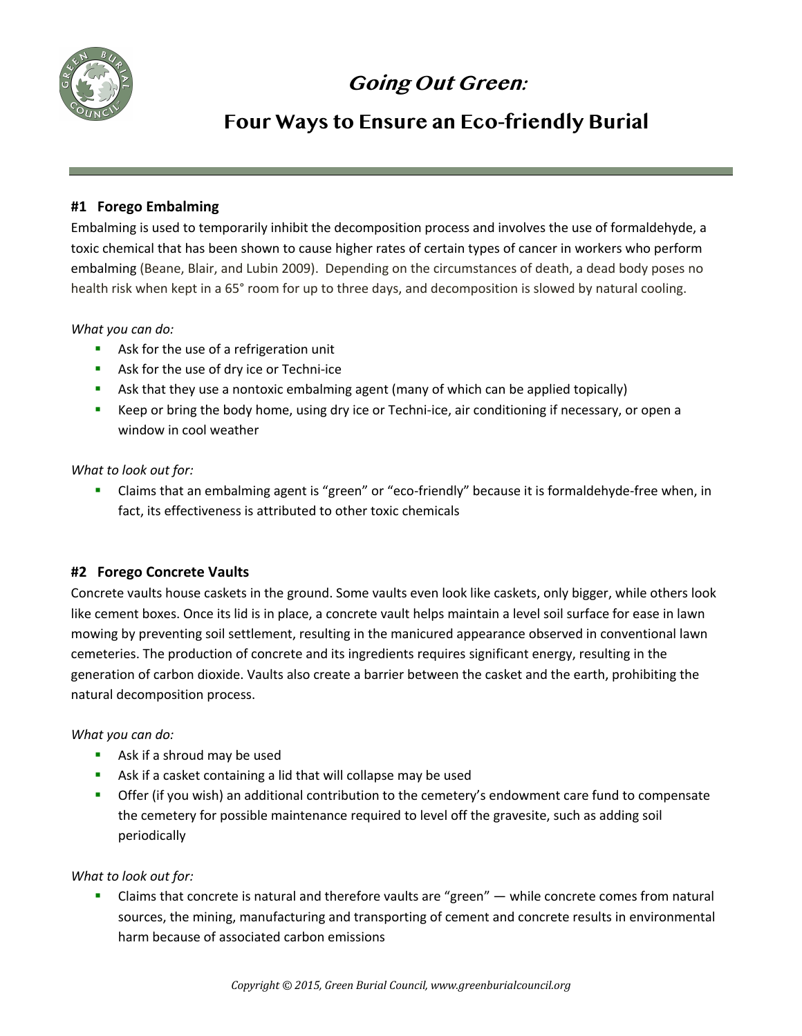

# **Going Out Green:**

# **Four Ways to Ensure an Eco-friendly Burial**

## **#1 Forego Embalming**

Embalming is used to temporarily inhibit the decomposition process and involves the use of formaldehyde, a toxic chemical that has been shown to cause higher rates of certain types of cancer in workers who perform embalming (Beane, Blair, and Lubin 2009). Depending on the circumstances of death, a dead body poses no health risk when kept in a 65° room for up to three days, and decomposition is slowed by natural cooling.

## *What you can do:*

- Ask for the use of a refrigeration unit
- Ask for the use of dry ice or Techni-ice
- **•** Ask that they use a nontoxic embalming agent (many of which can be applied topically)
- Keep or bring the body home, using dry ice or Techni-ice, air conditioning if necessary, or open a window in cool weather

#### *What to look out for:*

§ Claims that an embalming agent is "green" or "eco-friendly" because it is formaldehyde-free when, in fact, its effectiveness is attributed to other toxic chemicals

## **#2 Forego Concrete Vaults**

Concrete vaults house caskets in the ground. Some vaults even look like caskets, only bigger, while others look like cement boxes. Once its lid is in place, a concrete vault helps maintain a level soil surface for ease in lawn mowing by preventing soil settlement, resulting in the manicured appearance observed in conventional lawn cemeteries. The production of concrete and its ingredients requires significant energy, resulting in the generation of carbon dioxide. Vaults also create a barrier between the casket and the earth, prohibiting the natural decomposition process.

## *What you can do:*

- Ask if a shroud may be used
- Ask if a casket containing a lid that will collapse may be used
- **•** Offer (if you wish) an additional contribution to the cemetery's endowment care fund to compensate the cemetery for possible maintenance required to level off the gravesite, such as adding soil periodically

## *What to look out for:*

Claims that concrete is natural and therefore vaults are "green" — while concrete comes from natural sources, the mining, manufacturing and transporting of cement and concrete results in environmental harm because of associated carbon emissions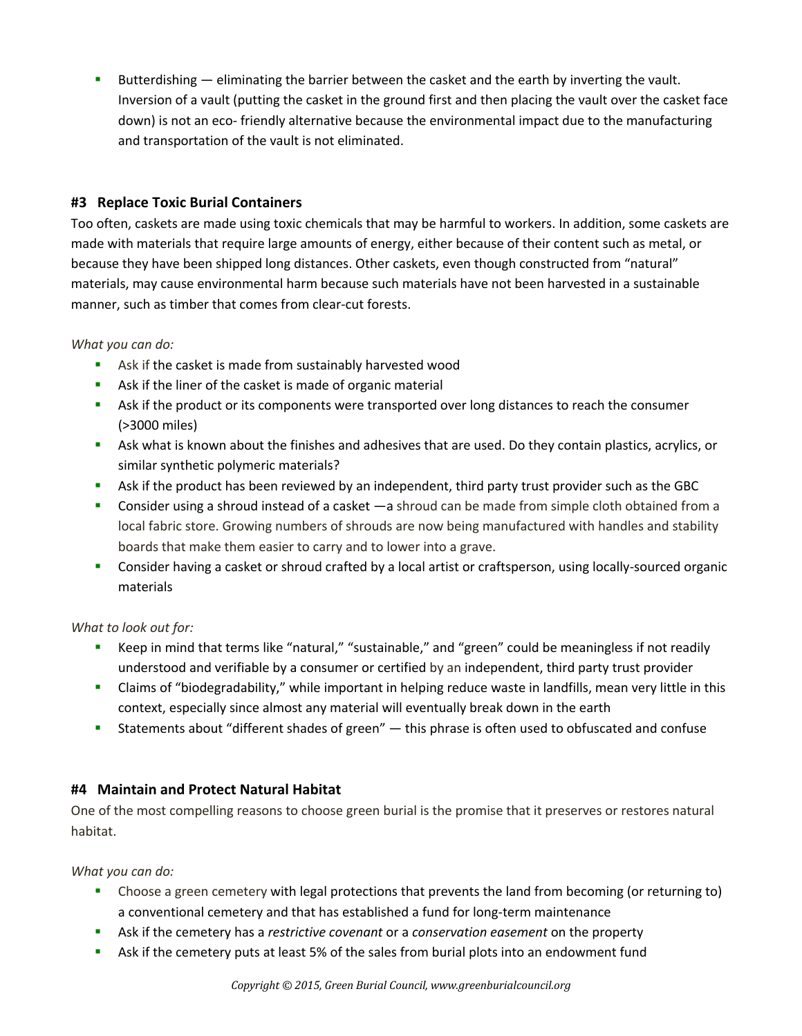Butterdishing — eliminating the barrier between the casket and the earth by inverting the vault. Inversion of a vault (putting the casket in the ground first and then placing the vault over the casket face down) is not an eco- friendly alternative because the environmental impact due to the manufacturing and transportation of the vault is not eliminated.

# **#3 Replace Toxic Burial Containers**

Too often, caskets are made using toxic chemicals that may be harmful to workers. In addition, some caskets are made with materials that require large amounts of energy, either because of their content such as metal, or because they have been shipped long distances. Other caskets, even though constructed from "natural" materials, may cause environmental harm because such materials have not been harvested in a sustainable manner, such as timber that comes from clear-cut forests.

## *What you can do:*

- Ask if the casket is made from sustainably harvested wood
- **Ask if the liner of the casket is made of organic material**
- **•** Ask if the product or its components were transported over long distances to reach the consumer (>3000 miles)
- **•** Ask what is known about the finishes and adhesives that are used. Do they contain plastics, acrylics, or similar synthetic polymeric materials?
- **•** Ask if the product has been reviewed by an independent, third party trust provider such as the GBC
- Consider using a shroud instead of a casket —a shroud can be made from simple cloth obtained from a local fabric store. Growing numbers of shrouds are now being manufactured with handles and stability boards that make them easier to carry and to lower into a grave.
- § Consider having a casket or shroud crafted by a local artist or craftsperson, using locally-sourced organic materials

## *What to look out for:*

- Keep in mind that terms like "natural," "sustainable," and "green" could be meaningless if not readily understood and verifiable by a consumer or certified by an independent, third party trust provider
- § Claims of "biodegradability," while important in helping reduce waste in landfills, mean very little in this context, especially since almost any material will eventually break down in the earth
- Statements about "different shades of green" this phrase is often used to obfuscated and confuse

## **#4 Maintain and Protect Natural Habitat**

One of the most compelling reasons to choose green burial is the promise that it preserves or restores natural habitat.

*What you can do:* 

- **•** Choose a green cemetery with legal protections that prevents the land from becoming (or returning to) a conventional cemetery and that has established a fund for long-term maintenance
- § Ask if the cemetery has a *restrictive covenant* or a *conservation easement* on the property
- **•** Ask if the cemetery puts at least 5% of the sales from burial plots into an endowment fund